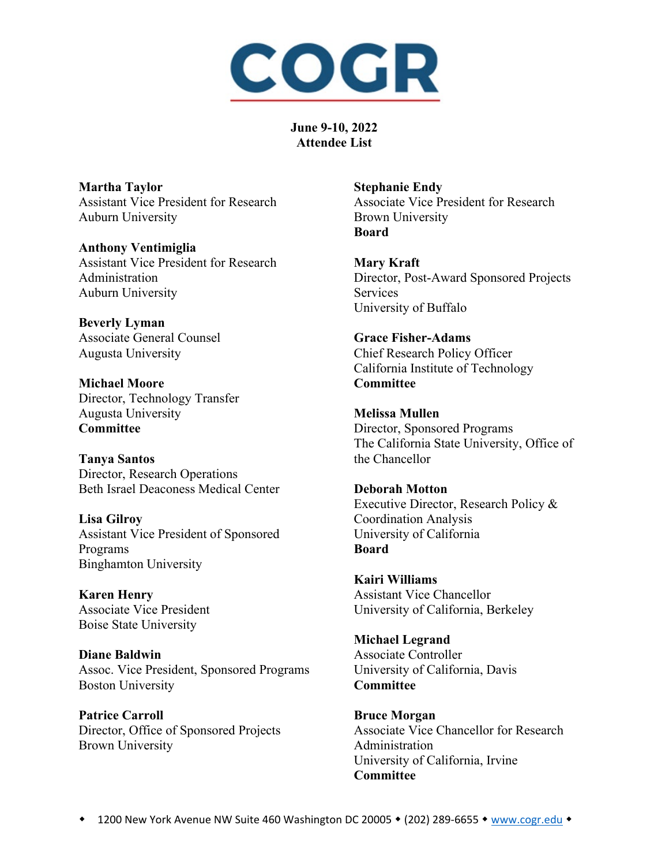

**Martha Taylor** Assistant Vice President for Research Auburn University

**Anthony Ventimiglia** Assistant Vice President for Research Administration Auburn University

**Beverly Lyman** Associate General Counsel Augusta University

**Michael Moore** Director, Technology Transfer Augusta University **Committee**

**Tanya Santos** Director, Research Operations Beth Israel Deaconess Medical Center

**Lisa Gilroy** Assistant Vice President of Sponsored Programs Binghamton University

**Karen Henry** Associate Vice President Boise State University

**Diane Baldwin** Assoc. Vice President, Sponsored Programs Boston University

**Patrice Carroll** Director, Office of Sponsored Projects Brown University

**Stephanie Endy** Associate Vice President for Research Brown University **Board**

**Mary Kraft** Director, Post-Award Sponsored Projects Services University of Buffalo

**Grace Fisher-Adams** Chief Research Policy Officer California Institute of Technology **Committee**

**Melissa Mullen** Director, Sponsored Programs The California State University, Office of the Chancellor

**Deborah Motton** Executive Director, Research Policy & Coordination Analysis University of California **Board**

**Kairi Williams** Assistant Vice Chancellor University of California, Berkeley

**Michael Legrand** Associate Controller University of California, Davis **Committee**

**Bruce Morgan** Associate Vice Chancellor for Research Administration University of California, Irvine **Committee**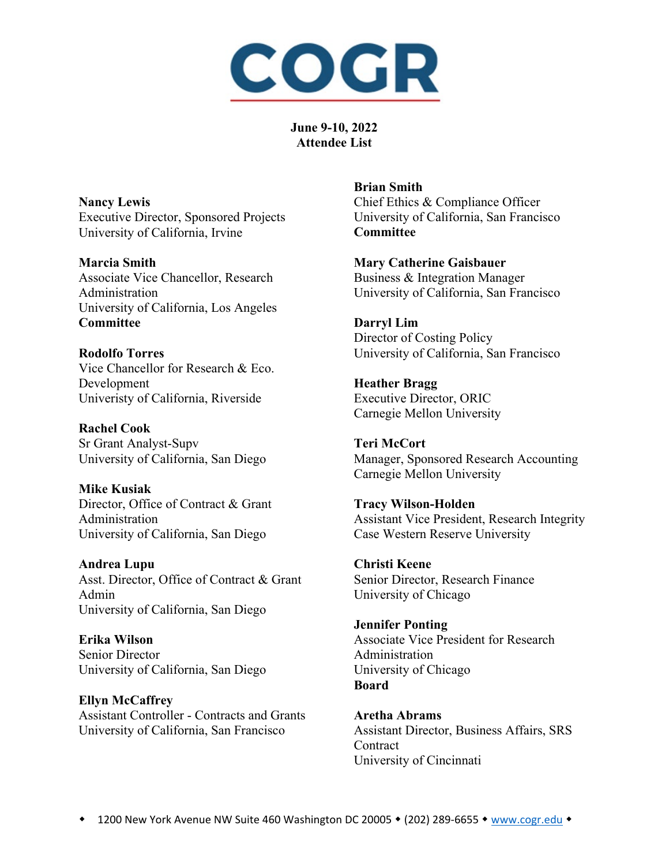

**Nancy Lewis** Executive Director, Sponsored Projects University of California, Irvine

**Marcia Smith** Associate Vice Chancellor, Research Administration University of California, Los Angeles **Committee**

**Rodolfo Torres** Vice Chancellor for Research & Eco. Development Univeristy of California, Riverside

**Rachel Cook** Sr Grant Analyst-Supv University of California, San Diego

**Mike Kusiak** Director, Office of Contract & Grant Administration University of California, San Diego

**Andrea Lupu** Asst. Director, Office of Contract & Grant Admin University of California, San Diego

**Erika Wilson** Senior Director University of California, San Diego

**Ellyn McCaffrey** Assistant Controller - Contracts and Grants University of California, San Francisco

**Brian Smith** Chief Ethics & Compliance Officer University of California, San Francisco **Committee**

**Mary Catherine Gaisbauer** Business & Integration Manager University of California, San Francisco

**Darryl Lim** Director of Costing Policy University of California, San Francisco

**Heather Bragg** Executive Director, ORIC Carnegie Mellon University

**Teri McCort** Manager, Sponsored Research Accounting Carnegie Mellon University

**Tracy Wilson-Holden** Assistant Vice President, Research Integrity Case Western Reserve University

**Christi Keene** Senior Director, Research Finance University of Chicago

**Jennifer Ponting** Associate Vice President for Research Administration University of Chicago **Board**

**Aretha Abrams** Assistant Director, Business Affairs, SRS **Contract** University of Cincinnati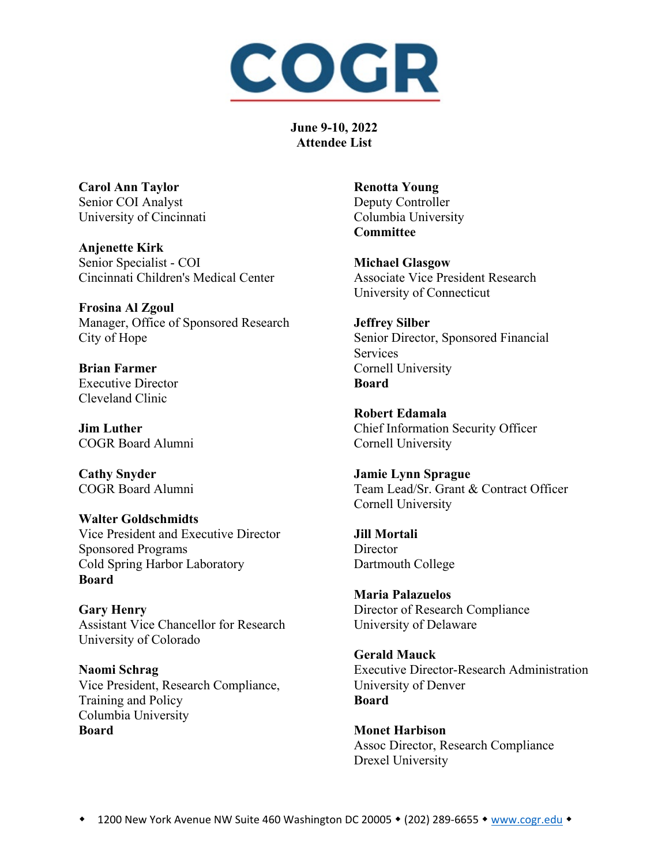

**Carol Ann Taylor** Senior COI Analyst University of Cincinnati

**Anjenette Kirk** Senior Specialist - COI Cincinnati Children's Medical Center

**Frosina Al Zgoul** Manager, Office of Sponsored Research City of Hope

**Brian Farmer** Executive Director Cleveland Clinic

**Jim Luther** COGR Board Alumni

**Cathy Snyder** COGR Board Alumni

**Walter Goldschmidts** Vice President and Executive Director Sponsored Programs Cold Spring Harbor Laboratory **Board**

**Gary Henry** Assistant Vice Chancellor for Research University of Colorado

**Naomi Schrag** Vice President, Research Compliance, Training and Policy Columbia University **Board**

**Renotta Young** Deputy Controller Columbia University **Committee**

**Michael Glasgow** Associate Vice President Research University of Connecticut

**Jeffrey Silber** Senior Director, Sponsored Financial Services Cornell University **Board**

**Robert Edamala** Chief Information Security Officer Cornell University

**Jamie Lynn Sprague** Team Lead/Sr. Grant & Contract Officer Cornell University

**Jill Mortali Director** Dartmouth College

**Maria Palazuelos** Director of Research Compliance University of Delaware

**Gerald Mauck** Executive Director-Research Administration University of Denver **Board**

**Monet Harbison** Assoc Director, Research Compliance Drexel University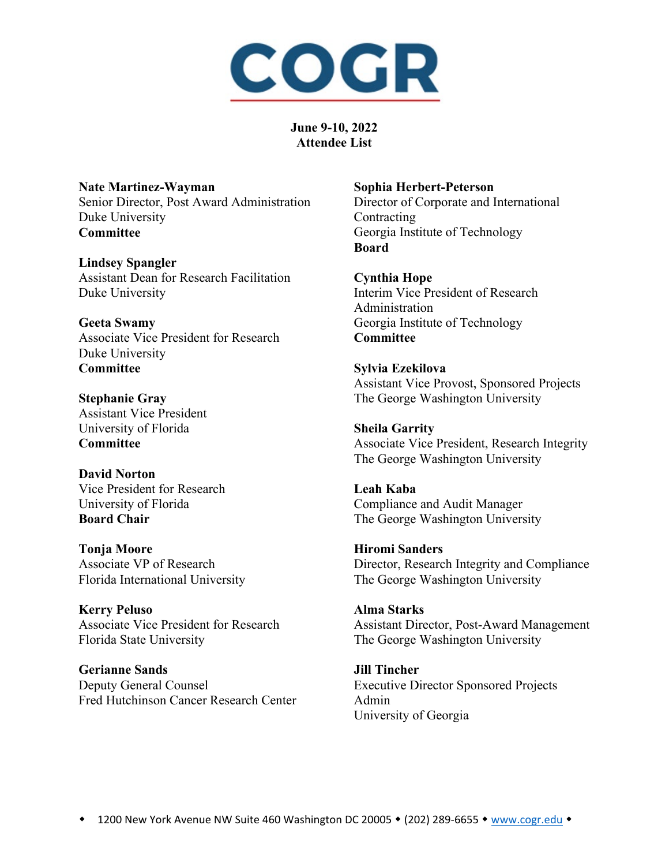

**Nate Martinez-Wayman** Senior Director, Post Award Administration Duke University **Committee**

**Lindsey Spangler** Assistant Dean for Research Facilitation Duke University

**Geeta Swamy** Associate Vice President for Research Duke University **Committee**

**Stephanie Gray** Assistant Vice President University of Florida **Committee**

**David Norton** Vice President for Research University of Florida **Board Chair**

**Tonja Moore** Associate VP of Research Florida International University

**Kerry Peluso** Associate Vice President for Research Florida State University

**Gerianne Sands** Deputy General Counsel Fred Hutchinson Cancer Research Center

## **Sophia Herbert-Peterson**

Director of Corporate and International Contracting Georgia Institute of Technology **Board**

**Cynthia Hope** Interim Vice President of Research Administration

Georgia Institute of Technology **Committee**

**Sylvia Ezekilova** Assistant Vice Provost, Sponsored Projects The George Washington University

**Sheila Garrity** Associate Vice President, Research Integrity The George Washington University

**Leah Kaba** Compliance and Audit Manager The George Washington University

**Hiromi Sanders** Director, Research Integrity and Compliance The George Washington University

**Alma Starks** Assistant Director, Post-Award Management The George Washington University

**Jill Tincher** Executive Director Sponsored Projects Admin University of Georgia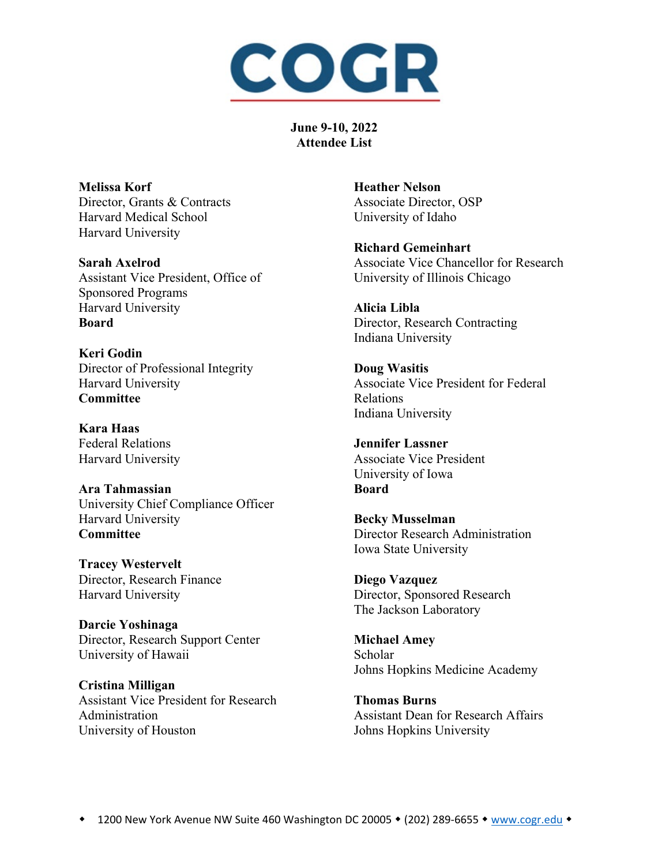

**Melissa Korf** Director, Grants & Contracts Harvard Medical School Harvard University

**Sarah Axelrod** Assistant Vice President, Office of Sponsored Programs Harvard University **Board**

**Keri Godin** Director of Professional Integrity Harvard University **Committee**

**Kara Haas** Federal Relations Harvard University

**Ara Tahmassian** University Chief Compliance Officer Harvard University **Committee**

**Tracey Westervelt** Director, Research Finance Harvard University

**Darcie Yoshinaga** Director, Research Support Center University of Hawaii

**Cristina Milligan** Assistant Vice President for Research Administration University of Houston

**Heather Nelson** Associate Director, OSP University of Idaho

**Richard Gemeinhart** Associate Vice Chancellor for Research University of Illinois Chicago

**Alicia Libla** Director, Research Contracting Indiana University

**Doug Wasitis** Associate Vice President for Federal Relations Indiana University

**Jennifer Lassner** Associate Vice President University of Iowa **Board**

**Becky Musselman** Director Research Administration Iowa State University

**Diego Vazquez** Director, Sponsored Research The Jackson Laboratory

**Michael Amey** Scholar Johns Hopkins Medicine Academy

**Thomas Burns** Assistant Dean for Research Affairs Johns Hopkins University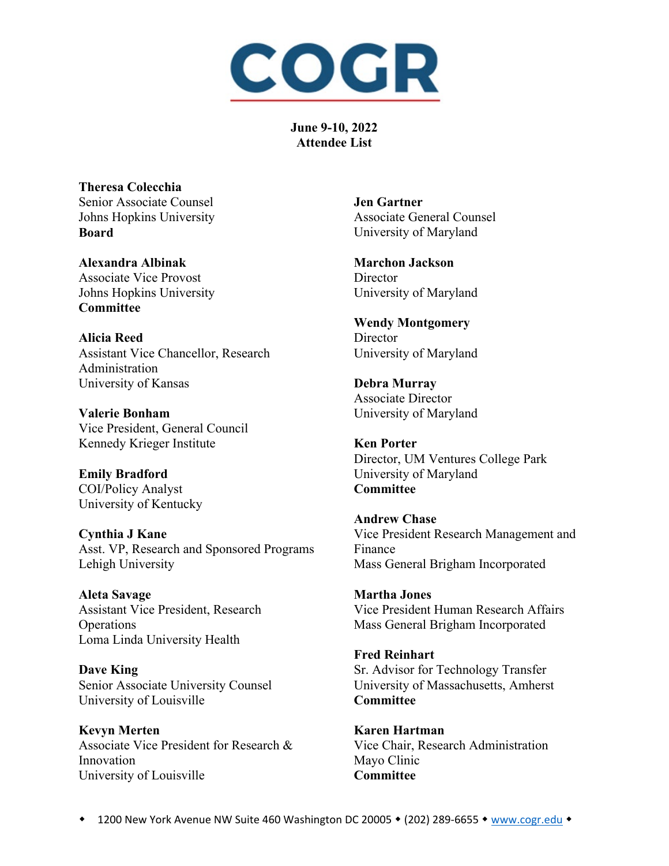

**Theresa Colecchia** Senior Associate Counsel Johns Hopkins University **Board**

**Alexandra Albinak** Associate Vice Provost Johns Hopkins University **Committee**

**Alicia Reed** Assistant Vice Chancellor, Research Administration University of Kansas

**Valerie Bonham** Vice President, General Council Kennedy Krieger Institute

**Emily Bradford** COI/Policy Analyst University of Kentucky

**Cynthia J Kane** Asst. VP, Research and Sponsored Programs Lehigh University

**Aleta Savage** Assistant Vice President, Research **Operations** Loma Linda University Health

**Dave King** Senior Associate University Counsel University of Louisville

**Kevyn Merten** Associate Vice President for Research & Innovation University of Louisville

**Jen Gartner** Associate General Counsel University of Maryland

**Marchon Jackson Director** University of Maryland

**Wendy Montgomery Director** University of Maryland

**Debra Murray** Associate Director University of Maryland

**Ken Porter** Director, UM Ventures College Park University of Maryland **Committee**

**Andrew Chase** Vice President Research Management and Finance Mass General Brigham Incorporated

**Martha Jones** Vice President Human Research Affairs Mass General Brigham Incorporated

**Fred Reinhart** Sr. Advisor for Technology Transfer University of Massachusetts, Amherst **Committee** 

**Karen Hartman** Vice Chair, Research Administration Mayo Clinic **Committee**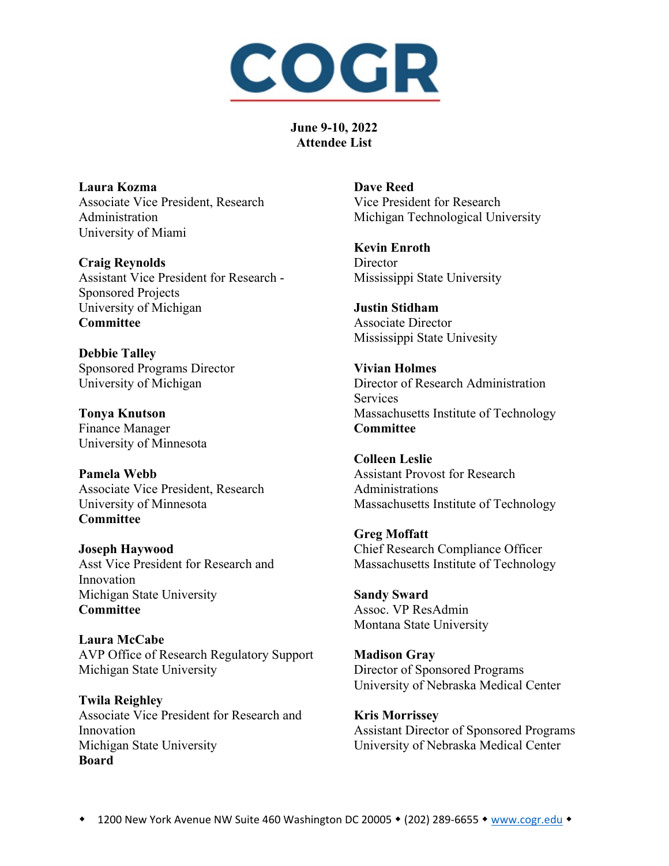

**Laura Kozma** Associate Vice President, Research Administration University of Miami

**Craig Reynolds** Assistant Vice President for Research - Sponsored Projects University of Michigan **Committee**

**Debbie Talley** Sponsored Programs Director University of Michigan

**Tonya Knutson** Finance Manager University of Minnesota

**Pamela Webb** Associate Vice President, Research University of Minnesota **Committee**

**Joseph Haywood** Asst Vice President for Research and Innovation Michigan State University **Committee**

**Laura McCabe** AVP Office of Research Regulatory Support Michigan State University

**Twila Reighley** Associate Vice President for Research and Innovation Michigan State University **Board**

**Dave Reed** Vice President for Research Michigan Technological University

**Kevin Enroth Director** Mississippi State University

**Justin Stidham** Associate Director Mississippi State Univesity

**Vivian Holmes** Director of Research Administration Services Massachusetts Institute of Technology **Committee**

**Colleen Leslie** Assistant Provost for Research Administrations Massachusetts Institute of Technology

**Greg Moffatt** Chief Research Compliance Officer Massachusetts Institute of Technology

**Sandy Sward** Assoc. VP ResAdmin Montana State University

**Madison Gray** Director of Sponsored Programs University of Nebraska Medical Center

**Kris Morrissey** Assistant Director of Sponsored Programs University of Nebraska Medical Center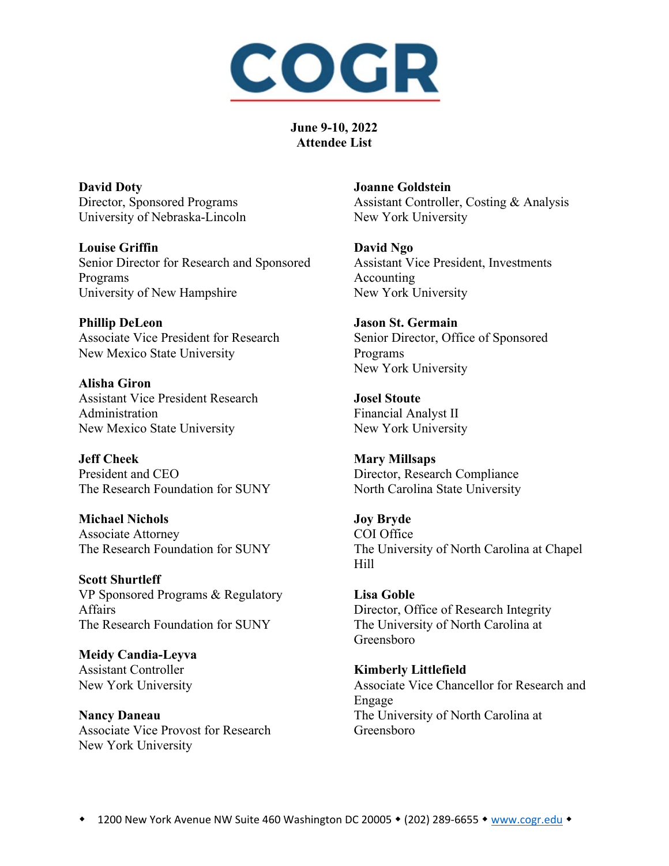

**David Doty** Director, Sponsored Programs University of Nebraska-Lincoln

**Louise Griffin** Senior Director for Research and Sponsored Programs University of New Hampshire

**Phillip DeLeon** Associate Vice President for Research New Mexico State University

**Alisha Giron** Assistant Vice President Research Administration New Mexico State University

**Jeff Cheek** President and CEO The Research Foundation for SUNY

**Michael Nichols** Associate Attorney The Research Foundation for SUNY

**Scott Shurtleff** VP Sponsored Programs & Regulatory Affairs The Research Foundation for SUNY

**Meidy Candia-Leyva** Assistant Controller New York University

**Nancy Daneau** Associate Vice Provost for Research New York University

**Joanne Goldstein** Assistant Controller, Costing & Analysis New York University

**David Ngo** Assistant Vice President, Investments Accounting New York University

**Jason St. Germain** Senior Director, Office of Sponsored Programs New York University

**Josel Stoute** Financial Analyst II New York University

**Mary Millsaps** Director, Research Compliance North Carolina State University

**Joy Bryde** COI Office The University of North Carolina at Chapel Hill

**Lisa Goble** Director, Office of Research Integrity The University of North Carolina at Greensboro

**Kimberly Littlefield** Associate Vice Chancellor for Research and Engage The University of North Carolina at Greensboro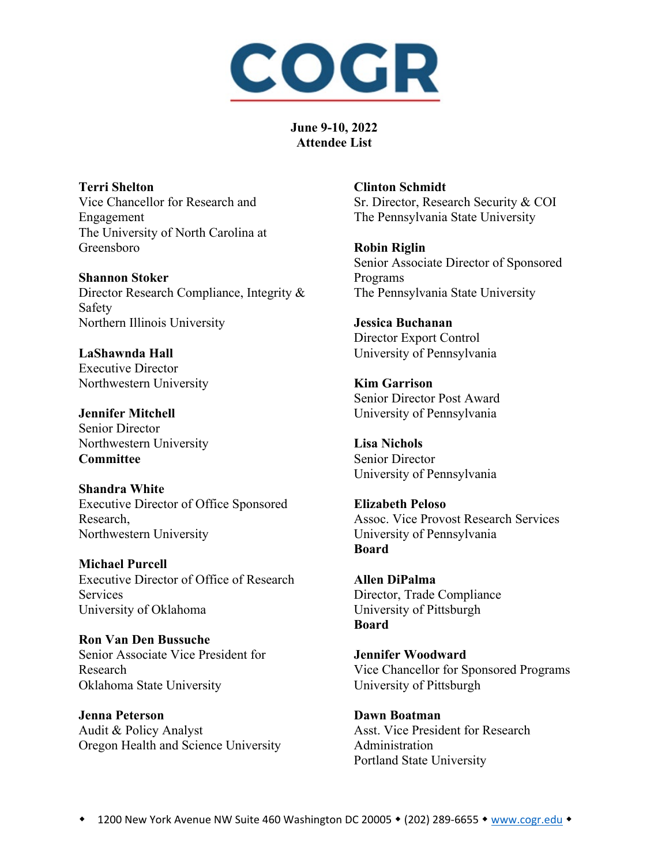

**Terri Shelton** Vice Chancellor for Research and Engagement The University of North Carolina at Greensboro

**Shannon Stoker** Director Research Compliance, Integrity & Safety Northern Illinois University

**LaShawnda Hall** Executive Director Northwestern University

**Jennifer Mitchell** Senior Director Northwestern University **Committee**

**Shandra White** Executive Director of Office Sponsored Research, Northwestern University

**Michael Purcell** Executive Director of Office of Research Services University of Oklahoma

**Ron Van Den Bussuche** Senior Associate Vice President for Research Oklahoma State University

**Jenna Peterson** Audit & Policy Analyst Oregon Health and Science University **Clinton Schmidt** Sr. Director, Research Security & COI The Pennsylvania State University

**Robin Riglin** Senior Associate Director of Sponsored Programs The Pennsylvania State University

**Jessica Buchanan** Director Export Control University of Pennsylvania

**Kim Garrison** Senior Director Post Award University of Pennsylvania

**Lisa Nichols** Senior Director University of Pennsylvania

**Elizabeth Peloso** Assoc. Vice Provost Research Services University of Pennsylvania **Board**

**Allen DiPalma** Director, Trade Compliance University of Pittsburgh **Board**

**Jennifer Woodward** Vice Chancellor for Sponsored Programs University of Pittsburgh

**Dawn Boatman** Asst. Vice President for Research Administration Portland State University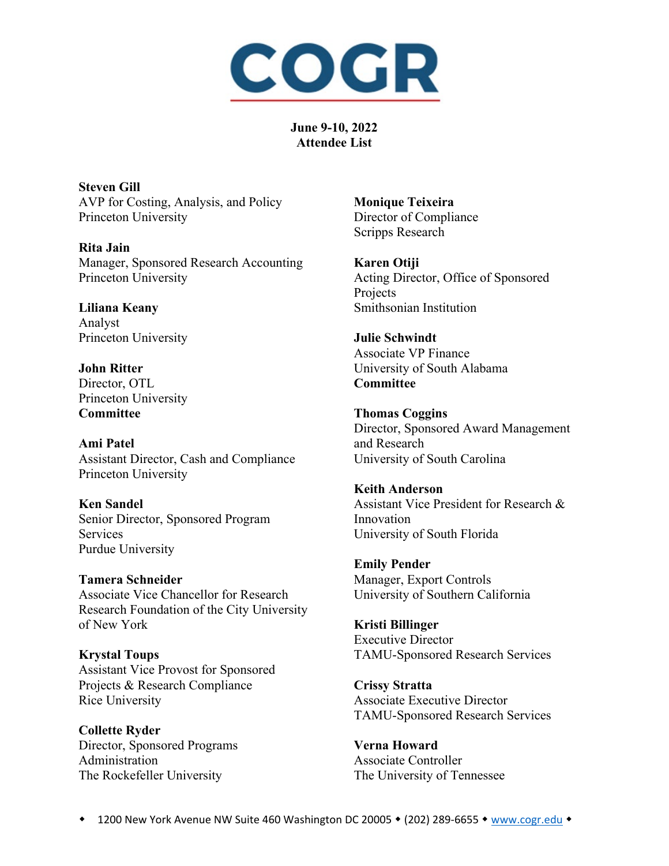

**Steven Gill** AVP for Costing, Analysis, and Policy Princeton University

**Rita Jain** Manager, Sponsored Research Accounting Princeton University

**Liliana Keany** Analyst Princeton University

**John Ritter** Director, OTL Princeton University **Committee**

**Ami Patel** Assistant Director, Cash and Compliance Princeton University

**Ken Sandel** Senior Director, Sponsored Program Services Purdue University

**Tamera Schneider** Associate Vice Chancellor for Research Research Foundation of the City University of New York

**Krystal Toups** Assistant Vice Provost for Sponsored Projects & Research Compliance Rice University

**Collette Ryder** Director, Sponsored Programs Administration The Rockefeller University

**Monique Teixeira** Director of Compliance Scripps Research

**Karen Otiji** Acting Director, Office of Sponsored Projects Smithsonian Institution

**Julie Schwindt** Associate VP Finance University of South Alabama **Committee**

**Thomas Coggins** Director, Sponsored Award Management and Research University of South Carolina

**Keith Anderson** Assistant Vice President for Research & Innovation University of South Florida

**Emily Pender** Manager, Export Controls University of Southern California

**Kristi Billinger** Executive Director TAMU-Sponsored Research Services

**Crissy Stratta** Associate Executive Director TAMU-Sponsored Research Services

**Verna Howard** Associate Controller The University of Tennessee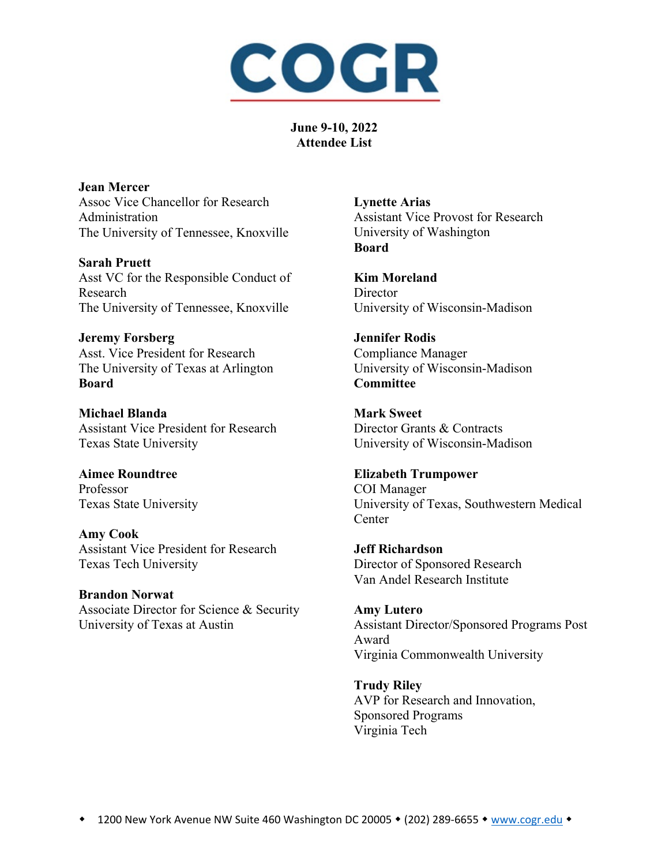

**Jean Mercer** Assoc Vice Chancellor for Research Administration The University of Tennessee, Knoxville

**Sarah Pruett** Asst VC for the Responsible Conduct of Research The University of Tennessee, Knoxville

**Jeremy Forsberg** Asst. Vice President for Research The University of Texas at Arlington **Board**

**Michael Blanda** Assistant Vice President for Research Texas State University

**Aimee Roundtree** Professor Texas State University

**Amy Cook** Assistant Vice President for Research Texas Tech University

**Brandon Norwat** Associate Director for Science & Security University of Texas at Austin

**Lynette Arias** Assistant Vice Provost for Research University of Washington **Board**

**Kim Moreland Director** University of Wisconsin-Madison

**Jennifer Rodis** Compliance Manager University of Wisconsin-Madison **Committee**

**Mark Sweet** Director Grants & Contracts University of Wisconsin-Madison

**Elizabeth Trumpower** COI Manager University of Texas, Southwestern Medical **Center** 

**Jeff Richardson** Director of Sponsored Research Van Andel Research Institute

**Amy Lutero** Assistant Director/Sponsored Programs Post Award Virginia Commonwealth University

**Trudy Riley** AVP for Research and Innovation, Sponsored Programs Virginia Tech